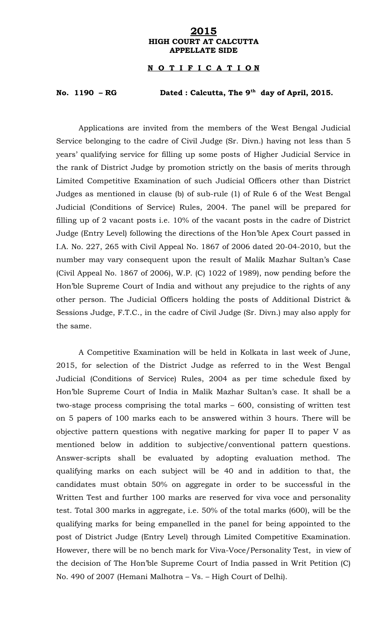## **2015 HIGH COURT AT CALCUTTA APPELLATE SIDE**

## **N O T I F I C A T I O N**

## **No. 1190 – RG Dated : Calcutta, The 9th day of April, 2015.**

Applications are invited from the members of the West Bengal Judicial Service belonging to the cadre of Civil Judge (Sr. Divn.) having not less than 5 years' qualifying service for filling up some posts of Higher Judicial Service in the rank of District Judge by promotion strictly on the basis of merits through Limited Competitive Examination of such Judicial Officers other than District Judges as mentioned in clause (b) of sub-rule (1) of Rule 6 of the West Bengal Judicial (Conditions of Service) Rules, 2004. The panel will be prepared for filling up of 2 vacant posts i.e. 10% of the vacant posts in the cadre of District Judge (Entry Level) following the directions of the Hon'ble Apex Court passed in I.A. No. 227, 265 with Civil Appeal No. 1867 of 2006 dated 20-04-2010, but the number may vary consequent upon the result of Malik Mazhar Sultan's Case (Civil Appeal No. 1867 of 2006), W.P. (C) 1022 of 1989), now pending before the Hon'ble Supreme Court of India and without any prejudice to the rights of any other person. The Judicial Officers holding the posts of Additional District & Sessions Judge, F.T.C., in the cadre of Civil Judge (Sr. Divn.) may also apply for the same.

A Competitive Examination will be held in Kolkata in last week of June, 2015, for selection of the District Judge as referred to in the West Bengal Judicial (Conditions of Service) Rules, 2004 as per time schedule fixed by Hon'ble Supreme Court of India in Malik Mazhar Sultan's case. It shall be a two-stage process comprising the total marks – 600, consisting of written test on 5 papers of 100 marks each to be answered within 3 hours. There will be objective pattern questions with negative marking for paper II to paper V as mentioned below in addition to subjective/conventional pattern questions. Answer-scripts shall be evaluated by adopting evaluation method. The qualifying marks on each subject will be 40 and in addition to that, the candidates must obtain 50% on aggregate in order to be successful in the Written Test and further 100 marks are reserved for viva voce and personality test. Total 300 marks in aggregate, i.e. 50% of the total marks (600), will be the qualifying marks for being empanelled in the panel for being appointed to the post of District Judge (Entry Level) through Limited Competitive Examination. However, there will be no bench mark for Viva-Voce/Personality Test, in view of the decision of The Hon'ble Supreme Court of India passed in Writ Petition (C) No. 490 of 2007 (Hemani Malhotra – Vs. – High Court of Delhi).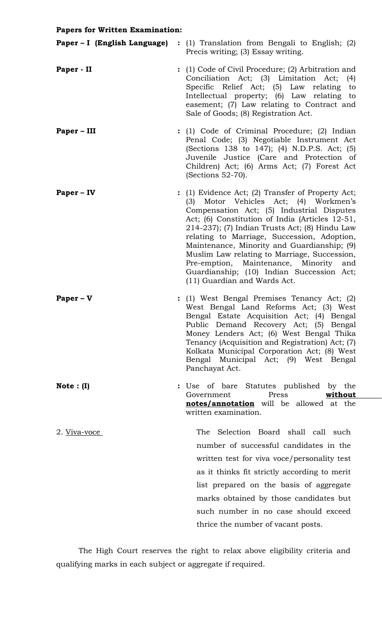## **Papers for Written Examination:**

| Paper – I (English Language) | : (1) Translation from Bengali to English; (2)<br>Precis writing; (3) Essay writing.                                                                                                                                                                                                                                                                                                                                                                                                                              |
|------------------------------|-------------------------------------------------------------------------------------------------------------------------------------------------------------------------------------------------------------------------------------------------------------------------------------------------------------------------------------------------------------------------------------------------------------------------------------------------------------------------------------------------------------------|
| Paper - II                   | : (1) Code of Civil Procedure; (2) Arbitration and<br>Conciliation Act; (3) Limitation Act; (4)<br>Specific Relief Act; (5) Law relating to<br>Intellectual property; (6) Law relating to<br>easement; (7) Law relating to Contract and<br>Sale of Goods; (8) Registration Act.                                                                                                                                                                                                                                   |
| Paper – III                  | : (1) Code of Criminal Procedure; (2) Indian<br>Penal Code; (3) Negotiable Instrument Act<br>(Sections 138 to 147); (4) N.D.P.S. Act; (5)<br>Juvenile Justice (Care and Protection of<br>Children) Act; (6) Arms Act; (7) Forest Act<br>$(Sections 52-70).$                                                                                                                                                                                                                                                       |
| Paper – IV                   | : (1) Evidence Act; (2) Transfer of Property Act;<br>(3) Motor Vehicles Act; (4) Workmen's<br>Compensation Act; (5) Industrial Disputes<br>Act; (6) Constitution of India (Articles 12-51,<br>214-237); (7) Indian Trusts Act; (8) Hindu Law<br>relating to Marriage, Succession, Adoption,<br>Maintenance, Minority and Guardianship; (9)<br>Muslim Law relating to Marriage, Succession,<br>Pre-emption, Maintenance, Minority and<br>Guardianship; (10) Indian Succession Act;<br>(11) Guardian and Wards Act. |
| $Paper - V$                  | : (1) West Bengal Premises Tenancy Act; (2)<br>West Bengal Land Reforms Act; (3) West<br>Bengal Estate Acquisition Act; (4) Bengal<br>Public Demand Recovery Act; (5) Bengal<br>Money Lenders Act; (6) West Bengal Thika<br>Tenancy (Acquisition and Registration) Act; (7)<br>Kolkata Municipal Corporation Act; (8) West<br>Bengal Municipal Act; (9) West Bengal<br>Panchayat Act.                                                                                                                             |
| Note $: (I)$                 | of bare Statutes published by the<br>Use                                                                                                                                                                                                                                                                                                                                                                                                                                                                          |

written examination. 2. Viva-voce The Selection Board shall call such number of successful candidates in the written test for viva voce/personality test as it thinks fit strictly according to merit list prepared on the basis of aggregate marks obtained by those candidates but such number in no case should exceed thrice the number of vacant posts.

Government Press **without notes/annotation** will be allowed at the

The High Court reserves the right to relax above eligibility criteria and qualifying marks in each subject or aggregate if required.